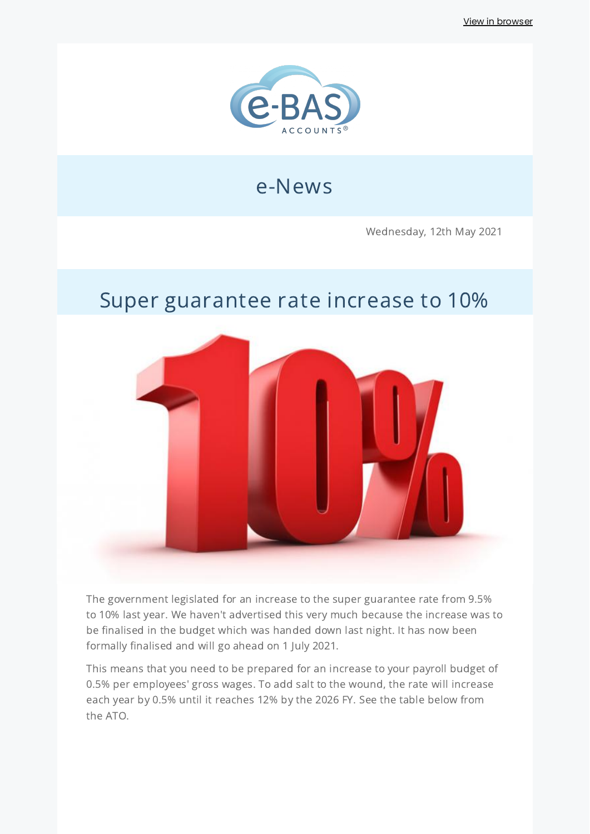View in [browser](http://localhost:3000/decode_hex/68747470733a2f2f707265766965772e6d61696c65726c6974652e636f6d2f713571386134)



# e-News

Wednesday, 12th May 2021

## Super guarantee rate increase to 10%



The government legislated for an increase to the super guarantee rate from 9.5% to 10% last year. We haven't advertised this very much because the increase was to be finalised in the budget which was handed down last night. It has now been formally finalised and will go ahead on 1 July 2021.

This means that you need to be prepared for an increase to your payroll budget of 0.5% per employees' gross wages. To add salt to the wound, the rate will increase each year by 0.5% until it reaches 12% by the 2026 FY. See the table below from the ATO.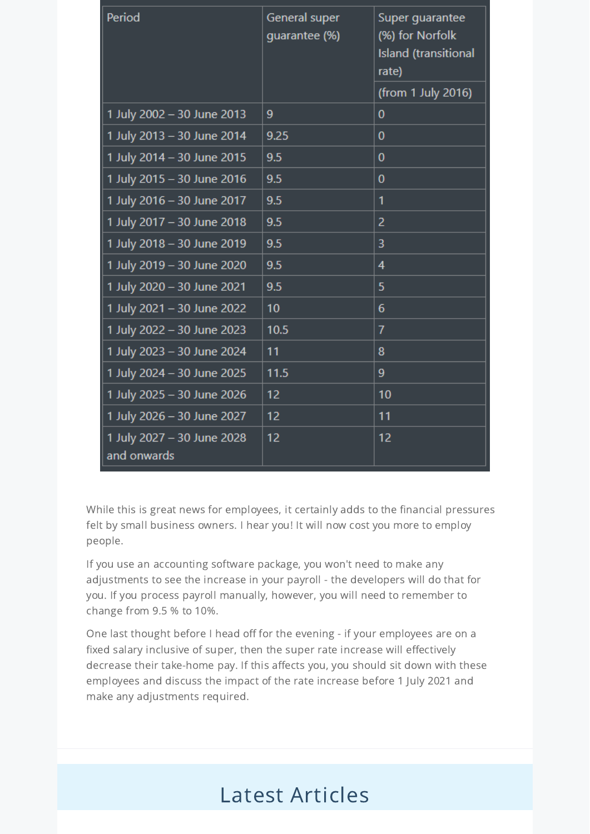| Period                                    | General super<br>guarantee (%) | Super guarantee<br>(%) for Norfolk<br><b>Island</b> (transitional<br>rate) |
|-------------------------------------------|--------------------------------|----------------------------------------------------------------------------|
|                                           |                                | (from 1 July 2016)                                                         |
| 1 July 2002 - 30 June 2013                | 9                              | 0                                                                          |
| 1 July 2013 - 30 June 2014                | 9.25                           | 0                                                                          |
| 1 July 2014 - 30 June 2015                | 9.5                            | 0                                                                          |
| 1 July 2015 - 30 June 2016                | 9.5                            | 0                                                                          |
| 1 July 2016 - 30 June 2017                | 9.5                            | 1                                                                          |
| 1 July 2017 - 30 June 2018                | 9.5                            | 2                                                                          |
| 1 July 2018 - 30 June 2019                | 9.5                            | 3                                                                          |
| 1 July 2019 - 30 June 2020                | 9.5                            | 4                                                                          |
| 1 July 2020 - 30 June 2021                | 9.5                            | 5                                                                          |
| 1 July 2021 - 30 June 2022                | 10                             | 6                                                                          |
| 1 July 2022 - 30 June 2023                | 10.5                           | 7                                                                          |
| 1 July 2023 - 30 June 2024                | 11                             | 8                                                                          |
| 1 July 2024 - 30 June 2025                | 11.5                           | 9                                                                          |
| 1 July 2025 - 30 June 2026                | 12                             | 10                                                                         |
| 1 July 2026 - 30 June 2027                | 12                             | 11                                                                         |
| 1 July 2027 - 30 June 2028<br>and onwards | 12                             | 12                                                                         |

While this is great news for employees, it certainly adds to the financial pressures felt by small business owners. I hear you! It will now cost you more to employ people.

If you use an accounting software package, you won't need to make any adjustments to see the increase in your payroll - the developers will do that for you. If you process payroll manually, however, you will need to remember to change from 9.5 % to 10%.

One last thought before I head off for the evening - if your employees are on a fixed salary inclusive of super, then the super rate increase will effectively decrease their take-home pay. If this affects you, you should sit down with these employees and discuss the impact of the rate increase before 1 July 2021 and make any adjustments required.

# Latest Articles